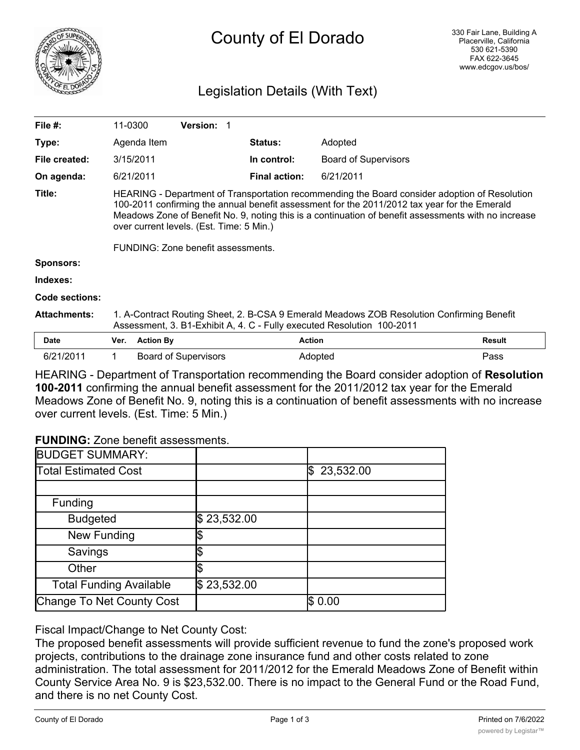

## Legislation Details (With Text)

| File $#$ :            | 11-0300                                                                                                                                                                                                                                                                                                                                                                                 |                  | <b>Version: 1</b>           |                      |                             |               |
|-----------------------|-----------------------------------------------------------------------------------------------------------------------------------------------------------------------------------------------------------------------------------------------------------------------------------------------------------------------------------------------------------------------------------------|------------------|-----------------------------|----------------------|-----------------------------|---------------|
| Type:                 |                                                                                                                                                                                                                                                                                                                                                                                         | Agenda Item      |                             | <b>Status:</b>       | Adopted                     |               |
| File created:         |                                                                                                                                                                                                                                                                                                                                                                                         | 3/15/2011        |                             | In control:          | <b>Board of Supervisors</b> |               |
| On agenda:            |                                                                                                                                                                                                                                                                                                                                                                                         | 6/21/2011        |                             | <b>Final action:</b> | 6/21/2011                   |               |
| Title:                | HEARING - Department of Transportation recommending the Board consider adoption of Resolution<br>100-2011 confirming the annual benefit assessment for the 2011/2012 tax year for the Emerald<br>Meadows Zone of Benefit No. 9, noting this is a continuation of benefit assessments with no increase<br>over current levels. (Est. Time: 5 Min.)<br>FUNDING: Zone benefit assessments. |                  |                             |                      |                             |               |
| <b>Sponsors:</b>      |                                                                                                                                                                                                                                                                                                                                                                                         |                  |                             |                      |                             |               |
| Indexes:              |                                                                                                                                                                                                                                                                                                                                                                                         |                  |                             |                      |                             |               |
| <b>Code sections:</b> |                                                                                                                                                                                                                                                                                                                                                                                         |                  |                             |                      |                             |               |
| <b>Attachments:</b>   | 1. A-Contract Routing Sheet, 2. B-CSA 9 Emerald Meadows ZOB Resolution Confirming Benefit<br>Assessment, 3. B1-Exhibit A, 4. C - Fully executed Resolution 100-2011                                                                                                                                                                                                                     |                  |                             |                      |                             |               |
| <b>Date</b>           | Ver.                                                                                                                                                                                                                                                                                                                                                                                    | <b>Action By</b> |                             | <b>Action</b>        |                             | <b>Result</b> |
| 6/21/2011             | 1.                                                                                                                                                                                                                                                                                                                                                                                      |                  | <b>Board of Supervisors</b> |                      | Adopted                     | Pass          |

HEARING - Department of Transportation recommending the Board consider adoption of **Resolution 100-2011** confirming the annual benefit assessment for the 2011/2012 tax year for the Emerald Meadows Zone of Benefit No. 9, noting this is a continuation of benefit assessments with no increase over current levels. (Est. Time: 5 Min.)

## **FUNDING:** Zone benefit assessments.

| <b>BUDGET SUMMARY:</b>         |             |                 |
|--------------------------------|-------------|-----------------|
| <b>Total Estimated Cost</b>    |             | 23,532.00<br>\$ |
|                                |             |                 |
| Funding                        |             |                 |
| <b>Budgeted</b>                | \$23,532.00 |                 |
| New Funding                    |             |                 |
| Savings                        |             |                 |
| Other                          |             |                 |
| <b>Total Funding Available</b> | \$23,532.00 |                 |
| Change To Net County Cost      |             | \$0.00          |

## Fiscal Impact/Change to Net County Cost:

The proposed benefit assessments will provide sufficient revenue to fund the zone's proposed work projects, contributions to the drainage zone insurance fund and other costs related to zone administration. The total assessment for 2011/2012 for the Emerald Meadows Zone of Benefit within County Service Area No. 9 is \$23,532.00. There is no impact to the General Fund or the Road Fund, and there is no net County Cost.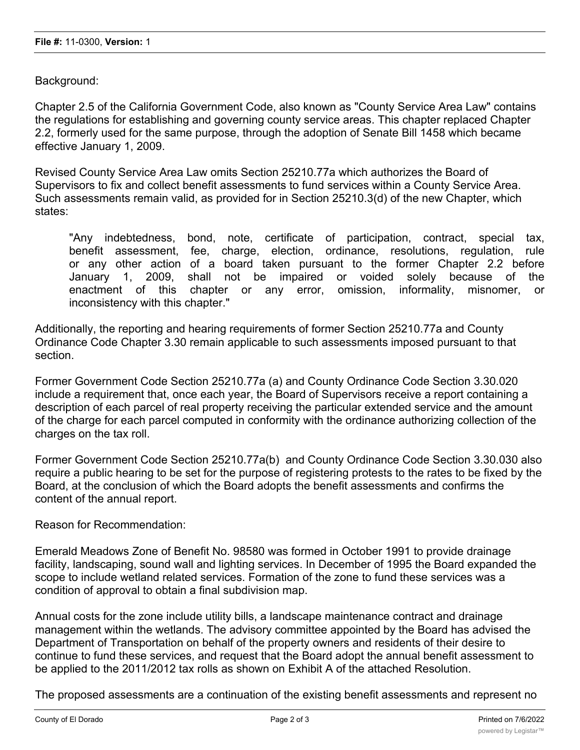Background:

Chapter 2.5 of the California Government Code, also known as "County Service Area Law" contains the regulations for establishing and governing county service areas. This chapter replaced Chapter 2.2, formerly used for the same purpose, through the adoption of Senate Bill 1458 which became effective January 1, 2009.

Revised County Service Area Law omits Section 25210.77a which authorizes the Board of Supervisors to fix and collect benefit assessments to fund services within a County Service Area. Such assessments remain valid, as provided for in Section 25210.3(d) of the new Chapter, which states:

"Any indebtedness, bond, note, certificate of participation, contract, special tax, benefit assessment, fee, charge, election, ordinance, resolutions, regulation, rule or any other action of a board taken pursuant to the former Chapter 2.2 before January 1, 2009, shall not be impaired or voided solely because of the enactment of this chapter or any error, omission, informality, misnomer, or inconsistency with this chapter."

Additionally, the reporting and hearing requirements of former Section 25210.77a and County Ordinance Code Chapter 3.30 remain applicable to such assessments imposed pursuant to that section.

Former Government Code Section 25210.77a (a) and County Ordinance Code Section 3.30.020 include a requirement that, once each year, the Board of Supervisors receive a report containing a description of each parcel of real property receiving the particular extended service and the amount of the charge for each parcel computed in conformity with the ordinance authorizing collection of the charges on the tax roll.

Former Government Code Section 25210.77a(b) and County Ordinance Code Section 3.30.030 also require a public hearing to be set for the purpose of registering protests to the rates to be fixed by the Board, at the conclusion of which the Board adopts the benefit assessments and confirms the content of the annual report.

Reason for Recommendation:

Emerald Meadows Zone of Benefit No. 98580 was formed in October 1991 to provide drainage facility, landscaping, sound wall and lighting services. In December of 1995 the Board expanded the scope to include wetland related services. Formation of the zone to fund these services was a condition of approval to obtain a final subdivision map.

Annual costs for the zone include utility bills, a landscape maintenance contract and drainage management within the wetlands. The advisory committee appointed by the Board has advised the Department of Transportation on behalf of the property owners and residents of their desire to continue to fund these services, and request that the Board adopt the annual benefit assessment to be applied to the 2011/2012 tax rolls as shown on Exhibit A of the attached Resolution.

The proposed assessments are a continuation of the existing benefit assessments and represent no